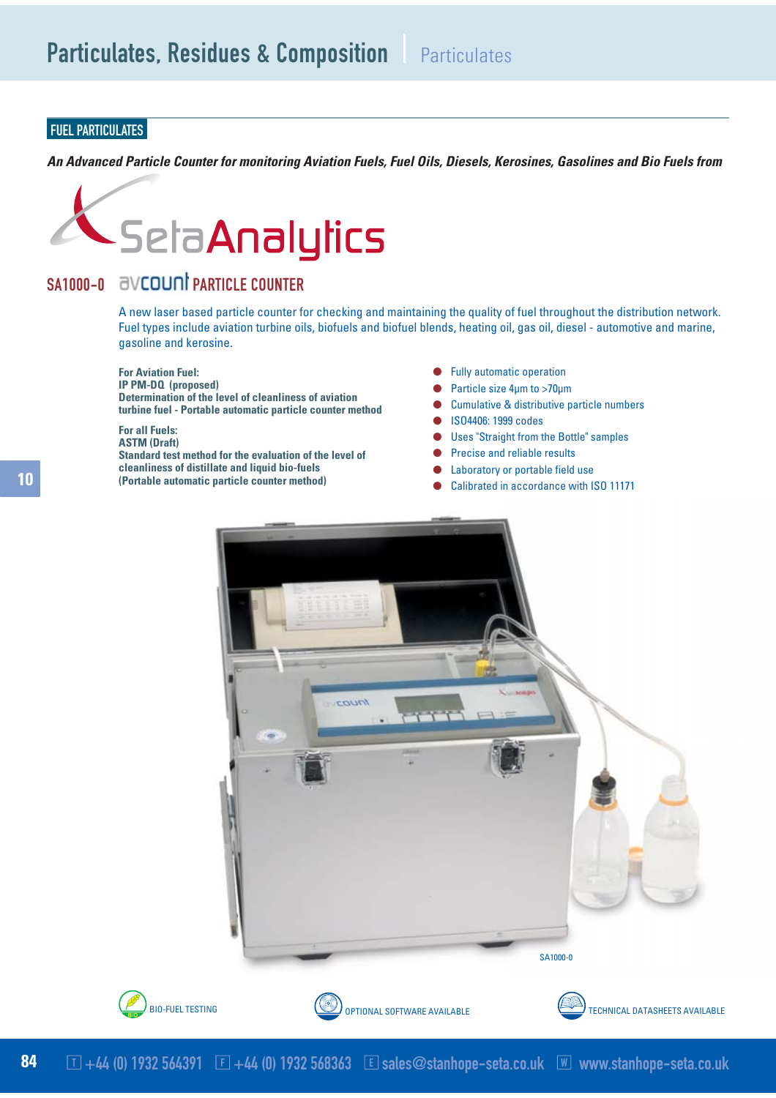## FUEL PARTICULATES

*An Advanced Particle Counter for monitoring Aviation Fuels, Fuel Oils, Diesels, Kerosines, Gasolines and Bio Fuels from*



## SA1000-0 **BVCOUNT PARTICLE COUNTER**

A new laser based particle counter for checking and maintaining the quality of fuel throughout the distribution network. Fuel types include aviation turbine oils, biofuels and biofuel blends, heating oil, gas oil, diesel - automotive and marine, gasoline and kerosine.

**For Aviation Fuel:**

**IP PM-DQ (proposed) Determination of the level of cleanliness of aviation turbine fuel - Portable automatic particle counter method**

## **For all Fuels:**

**ASTM (Draft) Standard test method for the evaluation of the level of cleanliness of distillate and liquid bio-fuels (Portable automatic particle counter method)**

- **Fully automatic operation**
- Particle size 4um to >70um
- Cumulative & distributive particle numbers
- ISO4406: 1999 codes
- **Uses "Straight from the Bottle" samples**
- Precise and reliable results
- Laboratory or portable field use
- Calibrated in accordance with ISO 11171